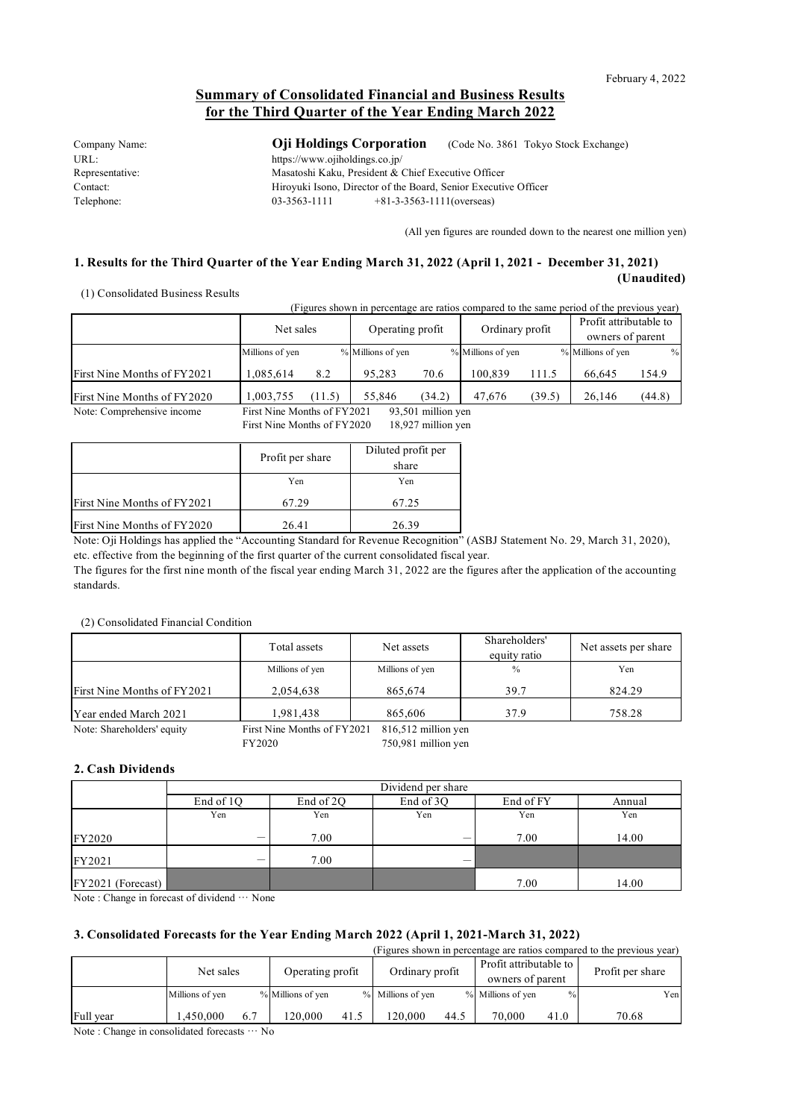# **Summary of Consolidated Financial and Business Results for the Third Quarter of the Year Ending March 2022**

Company Name: **Oji Holdings Corporation** (Code No. 3861 Tokyo Stock Exchange) URL:<br>https://www.ojiholdings.co.jp/ Representative: Masatoshi Kaku, President & Chief Executive Officer Contact: Hiroyuki Isono, Director of the Board, Senior Executive Officer Telephone: 03-3563-1111 +81-3-3563-1111 (overseas)

(All yen figures are rounded down to the nearest one million yen)

### **1. Results for the Third Quarter of the Year Ending March 31, 2022 (April 1, 2021 - December 31, 2021) (Unaudited)**

(1) Consolidated Business Results

(Figures shown in percentage are ratios compared to the same period of the previous year)

|                             | Net sales                                                                                         |        | Operating profit  |        | Ordinary profit   |        | Profit attributable to<br>owners of parent |        |
|-----------------------------|---------------------------------------------------------------------------------------------------|--------|-------------------|--------|-------------------|--------|--------------------------------------------|--------|
|                             | Millions of yen                                                                                   |        | % Millions of yen |        | % Millions of yen |        | % Millions of yen                          | $\%$   |
| First Nine Months of FY2021 | 1.085.614                                                                                         | 8.2    | 95.283            | 70.6   | 100.839           | 111.5  | 66.645                                     | 154.9  |
| First Nine Months of FY2020 | 1,003,755                                                                                         | (11.5) | 55.846            | (34.2) | 47.676            | (39.5) | 26.146                                     | (44.8) |
| Matar Campunhanaira inaquea | $02.501 \ldots 11.00$ years<br>$E_{\text{test}}$ M <sub>ine</sub> M <sub>antha</sub> of $E V2001$ |        |                   |        |                   |        |                                            |        |

Note: Comprehensive income First Nine Months of FY2021 93,501 million yen First Nine Month

|                             | Profit per share | Diluted profit per |
|-----------------------------|------------------|--------------------|
|                             |                  | share              |
|                             | Yen              | Yen                |
| First Nine Months of FY2021 | 67.29            | 67.25              |
| First Nine Months of FY2020 | 26.41            | 26.39              |

Note: Oji Holdings has applied the "Accounting Standard for Revenue Recognition" (ASBJ Statement No. 29, March 31, 2020), etc. effective from the beginning of the first quarter of the current consolidated fiscal year.

The figures for the first nine month of the fiscal year ending March 31, 2022 are the figures after the application of the accounting standards.

### (2) Consolidated Financial Condition

|                             | Total assets                | Net assets          | Shareholders'<br>equity ratio | Net assets per share |
|-----------------------------|-----------------------------|---------------------|-------------------------------|----------------------|
|                             | Millions of yen             | Millions of yen     | $\frac{0}{0}$                 | Yen                  |
| First Nine Months of FY2021 | 2.054.638                   | 865,674             | 39.7                          | 824.29               |
| Year ended March 2021       | 1,981,438                   | 865,606             | 37.9                          | 758.28               |
| Note: Shareholders' equity  | First Nine Months of FY2021 | 816,512 million yen |                               |                      |

FY2020 750,981 million yen

### **2. Cash Dividends**

|                   | Dividend per share |                                               |     |      |       |  |
|-------------------|--------------------|-----------------------------------------------|-----|------|-------|--|
|                   | End of 1Q          | End of 3Q<br>End of 2Q<br>End of FY<br>Annual |     |      |       |  |
|                   | Yen                | Yen                                           | Yen | Yen  | Yen   |  |
| FY2020            | _                  | 7.00                                          | -   | 7.00 | 14.00 |  |
| FY2021            | -                  | 7.00                                          |     |      |       |  |
| FY2021 (Forecast) |                    |                                               |     | 7.00 | 14.00 |  |

Note : Change in forecast of dividend … None

### **3. Consolidated Forecasts for the Year Ending March 2022 (April 1, 2021-March 31, 2022)**

(Figures shown in percentage are ratios compared to the previous year) Millions of yen  $\%$  |Millions of yen  $\%$  |Millions of yen  $\%$  |Millions of yen  $\%$  |Millions of yen  $\%$  |Millions of yen  $\%$  |Millions of yen  $\%$  |Millions of yen |Millions of yen |Millions of yen |Millions of yen | Full year 1,450,000 6.7 120,000 41.5 120,000 44.5 70,000 41.0 70.68 Net sales Operating profit Ordinary profit Profit attributable to owners of parent Profit per share

Note : Change in consolidated forecasts … No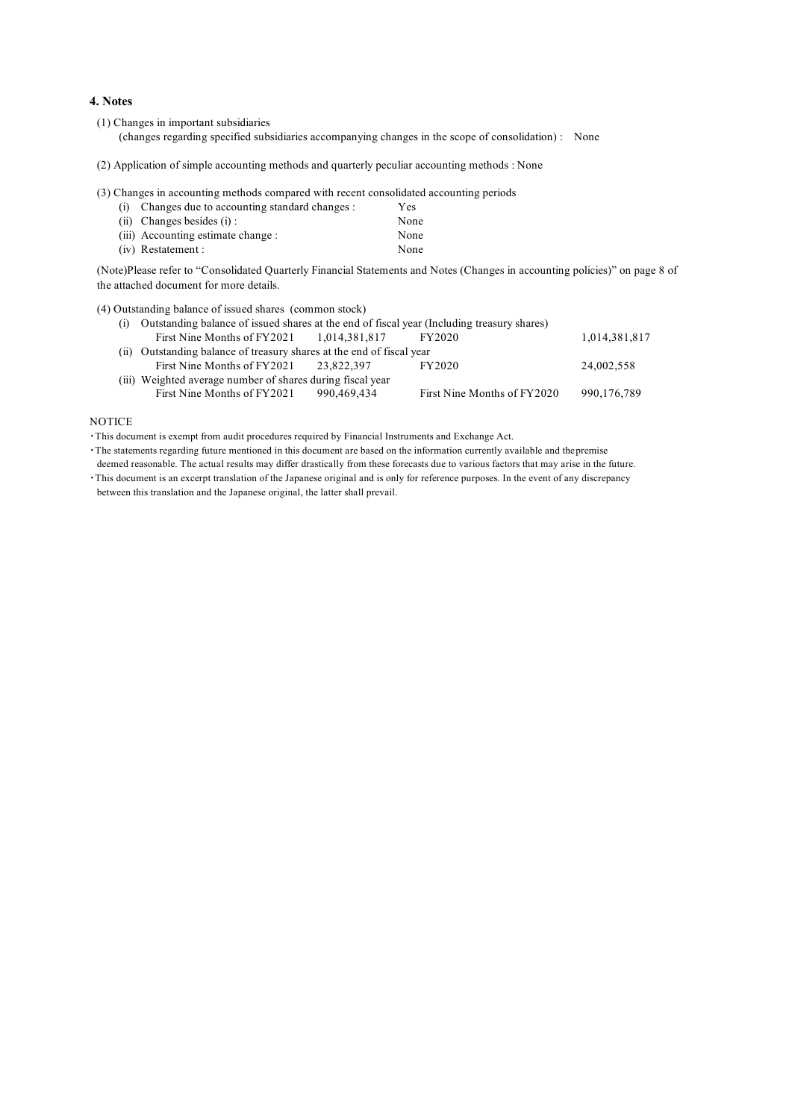### **4. Notes**

(1) Changes in important subsidiaries

(changes regarding specified subsidiaries accompanying changes in the scope of consolidation) : None

(2) Application of simple accounting methods and quarterly peculiar accounting methods : None

(3) Changes in accounting methods compared with recent consolidated accounting periods

| (i) Changes due to accounting standard changes : | <b>Yes</b> |
|--------------------------------------------------|------------|
| $(ii)$ Changes besides $(i)$ :                   | None       |
| (iii) Accounting estimate change :               | None       |
| (iv) Restatement :                               | None       |

(Note)Please refer to "Consolidated Quarterly Financial Statements and Notes (Changes in accounting policies)" on page 8 of the attached document for more details.

(4) Outstanding balance of issued shares (common stock)

| (i) Outstanding balance of issued shares at the end of fiscal year (Including treasury shares) |             |                             |               |
|------------------------------------------------------------------------------------------------|-------------|-----------------------------|---------------|
| First Nine Months of $FY2021$ 1.014.381.817                                                    |             | FY2020                      | 1,014,381,817 |
| (ii) Outstanding balance of treasury shares at the end of fiscal year                          |             |                             |               |
| First Nine Months of $FY2021$ 23.822.397                                                       |             | FY2020                      | 24,002,558    |
| (iii) Weighted average number of shares during fiscal year                                     |             |                             |               |
| First Nine Months of FY2021                                                                    | 990.469.434 | First Nine Months of FY2020 | 990,176,789   |

### **NOTICE**

・This document is exempt from audit procedures required by Financial Instruments and Exchange Act.

・The statements regarding future mentioned in this document are based on the information currently available and thepremise

deemed reasonable. The actual results may differ drastically from these forecasts due to various factors that may arise in the future.

・This document is an excerpt translation of the Japanese original and is only for reference purposes. In the event of any discrepancy between this translation and the Japanese original, the latter shall prevail.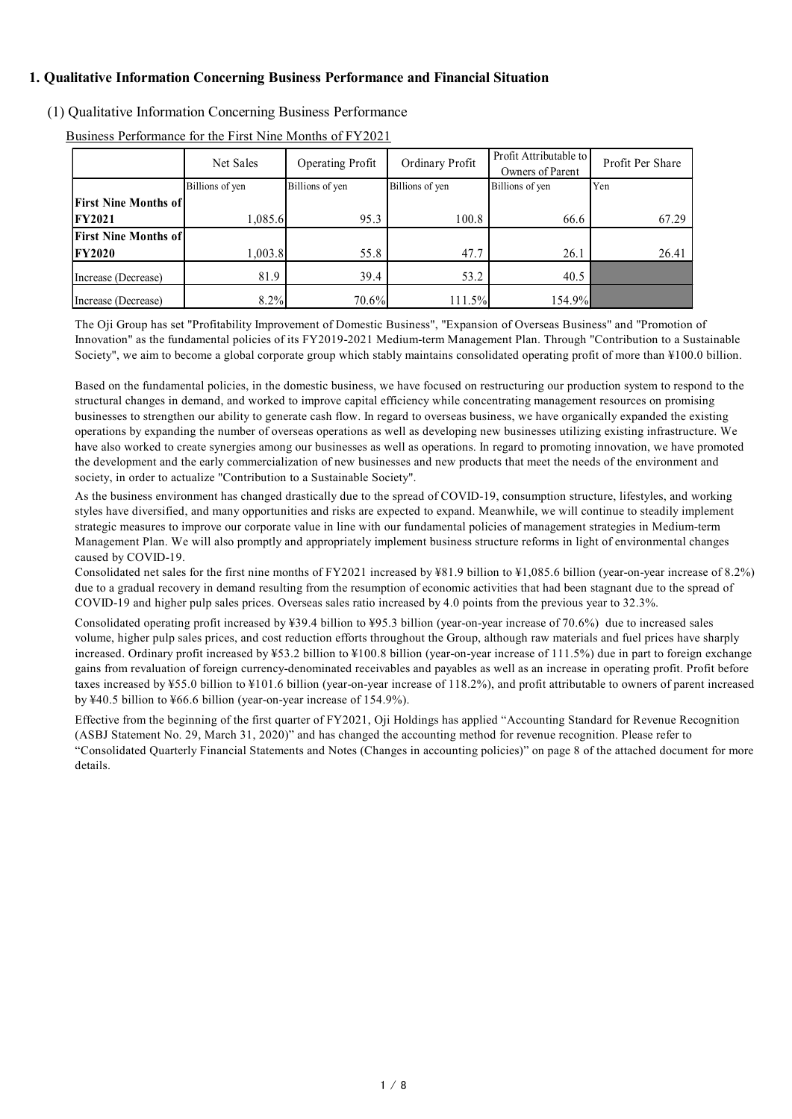## **1. Qualitative Information Concerning Business Performance and Financial Situation**

## (1) Qualitative Information Concerning Business Performance

|                             | Net Sales       | Operating Profit | Ordinary Profit | Profit Attributable to<br>Owners of Parent | Profit Per Share |
|-----------------------------|-----------------|------------------|-----------------|--------------------------------------------|------------------|
|                             | Billions of yen | Billions of yen  | Billions of yen | Billions of yen                            | Yen              |
| <b>First Nine Months of</b> |                 |                  |                 |                                            |                  |
| <b>FY2021</b>               | 1,085.6         | 95.3             | 100.8           | 66.6                                       | 67.29            |
| <b>First Nine Months of</b> |                 |                  |                 |                                            |                  |
| <b>FY2020</b>               | 1,003.8         | 55.8             | 47.7            | 26.1                                       | 26.41            |
| Increase (Decrease)         | 81.9            | 39.4             | 53.2            | 40.5                                       |                  |
| Increase (Decrease)         | 8.2%            | 70.6%            | 111.5%          | 154.9%                                     |                  |

Business Performance for the First Nine Months of FY2021

The Oji Group has set "Profitability Improvement of Domestic Business", "Expansion of Overseas Business" and "Promotion of Innovation" as the fundamental policies of its FY2019-2021 Medium-term Management Plan. Through "Contribution to a Sustainable Society", we aim to become a global corporate group which stably maintains consolidated operating profit of more than ¥100.0 billion.

Based on the fundamental policies, in the domestic business, we have focused on restructuring our production system to respond to the structural changes in demand, and worked to improve capital efficiency while concentrating management resources on promising businesses to strengthen our ability to generate cash flow. In regard to overseas business, we have organically expanded the existing operations by expanding the number of overseas operations as well as developing new businesses utilizing existing infrastructure. We have also worked to create synergies among our businesses as well as operations. In regard to promoting innovation, we have promoted the development and the early commercialization of new businesses and new products that meet the needs of the environment and society, in order to actualize "Contribution to a Sustainable Society".

As the business environment has changed drastically due to the spread of COVID-19, consumption structure, lifestyles, and working styles have diversified, and many opportunities and risks are expected to expand. Meanwhile, we will continue to steadily implement strategic measures to improve our corporate value in line with our fundamental policies of management strategies in Medium-term Management Plan. We will also promptly and appropriately implement business structure reforms in light of environmental changes caused by COVID-19.

Consolidated net sales for the first nine months of FY2021 increased by ¥81.9 billion to ¥1,085.6 billion (year-on-year increase of 8.2%) due to a gradual recovery in demand resulting from the resumption of economic activities that had been stagnant due to the spread of COVID-19 and higher pulp sales prices. Overseas sales ratio increased by 4.0 points from the previous year to 32.3%.

Consolidated operating profit increased by ¥39.4 billion to ¥95.3 billion (year-on-year increase of 70.6%) due to increased sales volume, higher pulp sales prices, and cost reduction efforts throughout the Group, although raw materials and fuel prices have sharply increased. Ordinary profit increased by ¥53.2 billion to ¥100.8 billion (year-on-year increase of 111.5%) due in part to foreign exchange gains from revaluation of foreign currency-denominated receivables and payables as well as an increase in operating profit. Profit before taxes increased by ¥55.0 billion to ¥101.6 billion (year-on-year increase of 118.2%), and profit attributable to owners of parent increased by ¥40.5 billion to ¥66.6 billion (year-on-year increase of 154.9%).

Effective from the beginning of the first quarter of FY2021, Oji Holdings has applied "Accounting Standard for Revenue Recognition (ASBJ Statement No. 29, March 31, 2020)" and has changed the accounting method for revenue recognition. Please refer to "Consolidated Quarterly Financial Statements and Notes (Changes in accounting policies)" on page 8 of the attached document for more details.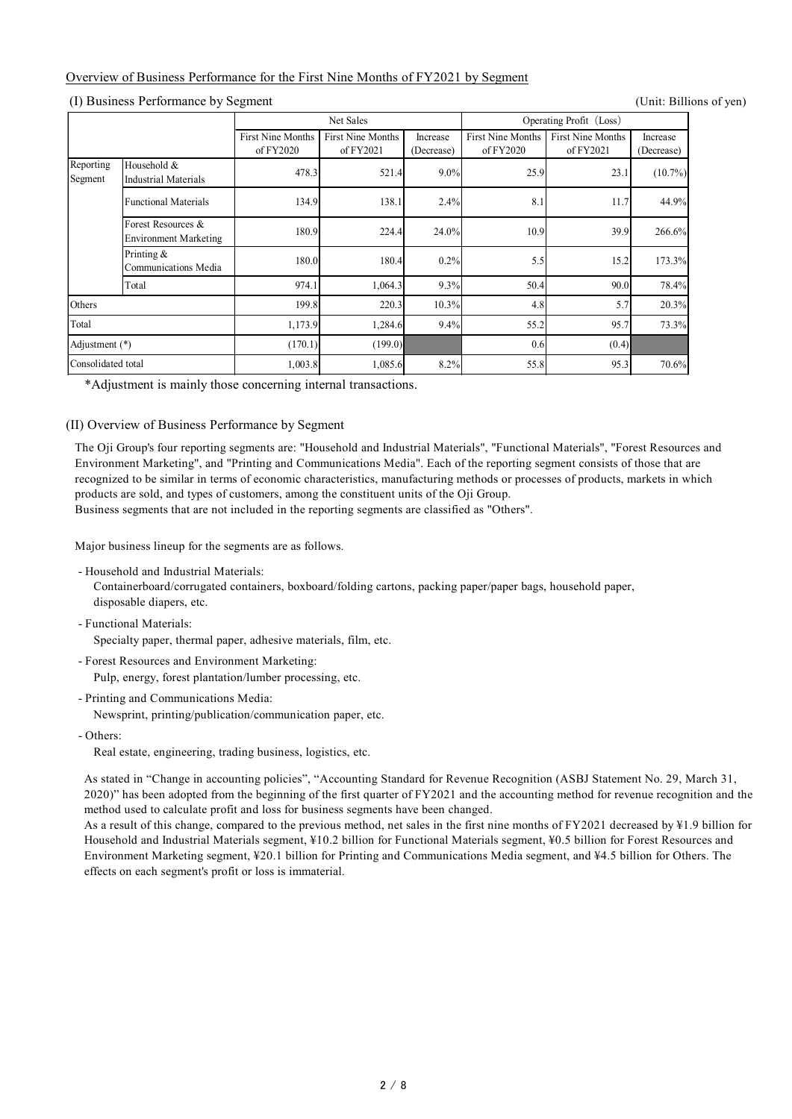### Overview of Business Performance for the First Nine Months of FY2021 by Segment

(I) Business Performance by Segment (Unit: Billions of yen)

|                      |                                                    | Net Sales                             |                                |                        | Operating Profit (Loss)               |                                |                        |
|----------------------|----------------------------------------------------|---------------------------------------|--------------------------------|------------------------|---------------------------------------|--------------------------------|------------------------|
|                      |                                                    | <b>First Nine Months</b><br>of FY2020 | First Nine Months<br>of FY2021 | Increase<br>(Decrease) | <b>First Nine Months</b><br>of FY2020 | First Nine Months<br>of FY2021 | Increase<br>(Decrease) |
| Reporting<br>Segment | Household &<br><b>Industrial Materials</b>         | 478.3                                 | 521.4                          | 9.0%                   | 25.9                                  | 23.1                           | $(10.7\%)$             |
|                      | <b>Functional Materials</b>                        | 134.9                                 | 138.1                          | 2.4%                   | 8.1                                   | 11.7                           | 44.9%                  |
|                      | Forest Resources &<br><b>Environment Marketing</b> | 180.9                                 | 224.4                          | 24.0%                  | 10.9                                  | 39.9                           | 266.6%                 |
|                      | Printing $&$<br>Communications Media               | 180.0                                 | 180.4                          | 0.2%                   | 5.5                                   | 15.2                           | 173.3%                 |
|                      | Total                                              | 974.1                                 | 1,064.3                        | 9.3%                   | 50.4                                  | 90.0                           | 78.4%                  |
| Others               |                                                    | 199.8                                 | 220.3                          | 10.3%                  | 4.8                                   | 5.7                            | 20.3%                  |
| Total                |                                                    | 1,173.9                               | 1,284.6                        | 9.4%                   | 55.2                                  | 95.7                           | 73.3%                  |
| Adjustment (*)       |                                                    | (170.1)                               | (199.0)                        |                        | 0.6                                   | (0.4)                          |                        |
| Consolidated total   |                                                    | 1,003.8                               | 1,085.6                        | 8.2%                   | 55.8                                  | 95.3                           | 70.6%                  |

\*Adjustment is mainly those concerning internal transactions.

### (II) Overview of Business Performance by Segment

The Oji Group's four reporting segments are: "Household and Industrial Materials", "Functional Materials", "Forest Resources and Environment Marketing", and "Printing and Communications Media". Each of the reporting segment consists of those that are recognized to be similar in terms of economic characteristics, manufacturing methods or processes of products, markets in which products are sold, and types of customers, among the constituent units of the Oji Group.

Business segments that are not included in the reporting segments are classified as "Others".

Major business lineup for the segments are as follows.

- Household and Industrial Materials:

Containerboard/corrugated containers, boxboard/folding cartons, packing paper/paper bags, household paper, disposable diapers, etc.

- Functional Materials:

Specialty paper, thermal paper, adhesive materials, film, etc.

- Forest Resources and Environment Marketing:

Pulp, energy, forest plantation/lumber processing, etc.

- Printing and Communications Media:

Newsprint, printing/publication/communication paper, etc.

- Others:

Real estate, engineering, trading business, logistics, etc.

As stated in "Change in accounting policies", "Accounting Standard for Revenue Recognition (ASBJ Statement No. 29, March 31, 2020)" has been adopted from the beginning of the first quarter of FY2021 and the accounting method for revenue recognition and the method used to calculate profit and loss for business segments have been changed.

As a result of this change, compared to the previous method, net sales in the first nine months of FY2021 decreased by ¥1.9 billion for Household and Industrial Materials segment, ¥10.2 billion for Functional Materials segment, ¥0.5 billion for Forest Resources and Environment Marketing segment, ¥20.1 billion for Printing and Communications Media segment, and ¥4.5 billion for Others. The effects on each segment's profit or loss is immaterial.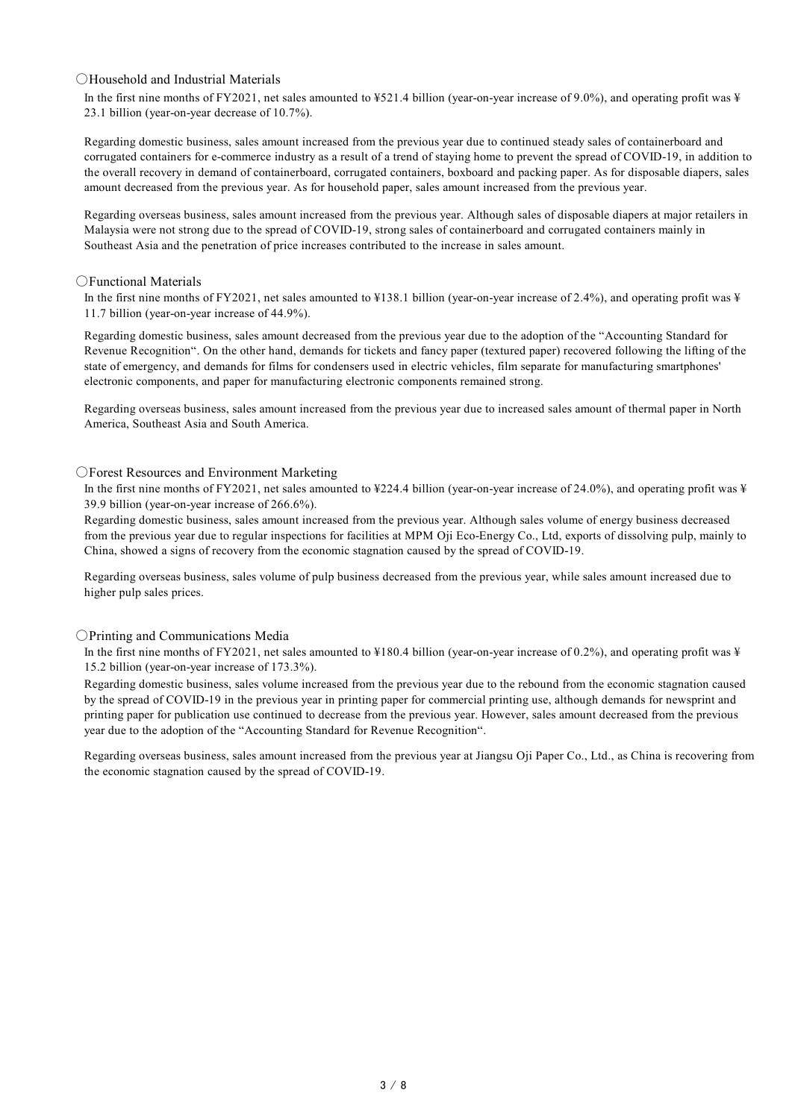### ○Household and Industrial Materials

In the first nine months of FY2021, net sales amounted to ¥521.4 billion (year-on-year increase of 9.0%), and operating profit was ¥ 23.1 billion (year-on-year decrease of 10.7%).

Regarding domestic business, sales amount increased from the previous year due to continued steady sales of containerboard and corrugated containers for e-commerce industry as a result of a trend of staying home to prevent the spread of COVID-19, in addition to the overall recovery in demand of containerboard, corrugated containers, boxboard and packing paper. As for disposable diapers, sales amount decreased from the previous year. As for household paper, sales amount increased from the previous year.

Regarding overseas business, sales amount increased from the previous year. Although sales of disposable diapers at major retailers in Malaysia were not strong due to the spread of COVID-19, strong sales of containerboard and corrugated containers mainly in Southeast Asia and the penetration of price increases contributed to the increase in sales amount.

### ○Functional Materials

In the first nine months of FY2021, net sales amounted to ¥138.1 billion (year-on-year increase of 2.4%), and operating profit was ¥ 11.7 billion (year-on-year increase of 44.9%).

Regarding domestic business, sales amount decreased from the previous year due to the adoption of the "Accounting Standard for Revenue Recognition". On the other hand, demands for tickets and fancy paper (textured paper) recovered following the lifting of the state of emergency, and demands for films for condensers used in electric vehicles, film separate for manufacturing smartphones' electronic components, and paper for manufacturing electronic components remained strong.

Regarding overseas business, sales amount increased from the previous year due to increased sales amount of thermal paper in North America, Southeast Asia and South America.

### ○Forest Resources and Environment Marketing

In the first nine months of FY2021, net sales amounted to ¥224.4 billion (year-on-year increase of 24.0%), and operating profit was ¥ 39.9 billion (year-on-year increase of 266.6%).

Regarding domestic business, sales amount increased from the previous year. Although sales volume of energy business decreased from the previous year due to regular inspections for facilities at MPM Oji Eco-Energy Co., Ltd, exports of dissolving pulp, mainly to China, showed a signs of recovery from the economic stagnation caused by the spread of COVID-19.

Regarding overseas business, sales volume of pulp business decreased from the previous year, while sales amount increased due to higher pulp sales prices.

### ○Printing and Communications Media

In the first nine months of FY2021, net sales amounted to ¥180.4 billion (year-on-year increase of 0.2%), and operating profit was ¥ 15.2 billion (year-on-year increase of 173.3%).

Regarding domestic business, sales volume increased from the previous year due to the rebound from the economic stagnation caused by the spread of COVID-19 in the previous year in printing paper for commercial printing use, although demands for newsprint and printing paper for publication use continued to decrease from the previous year. However, sales amount decreased from the previous year due to the adoption of the "Accounting Standard for Revenue Recognition".

Regarding overseas business, sales amount increased from the previous year at Jiangsu Oji Paper Co., Ltd., as China is recovering from the economic stagnation caused by the spread of COVID-19.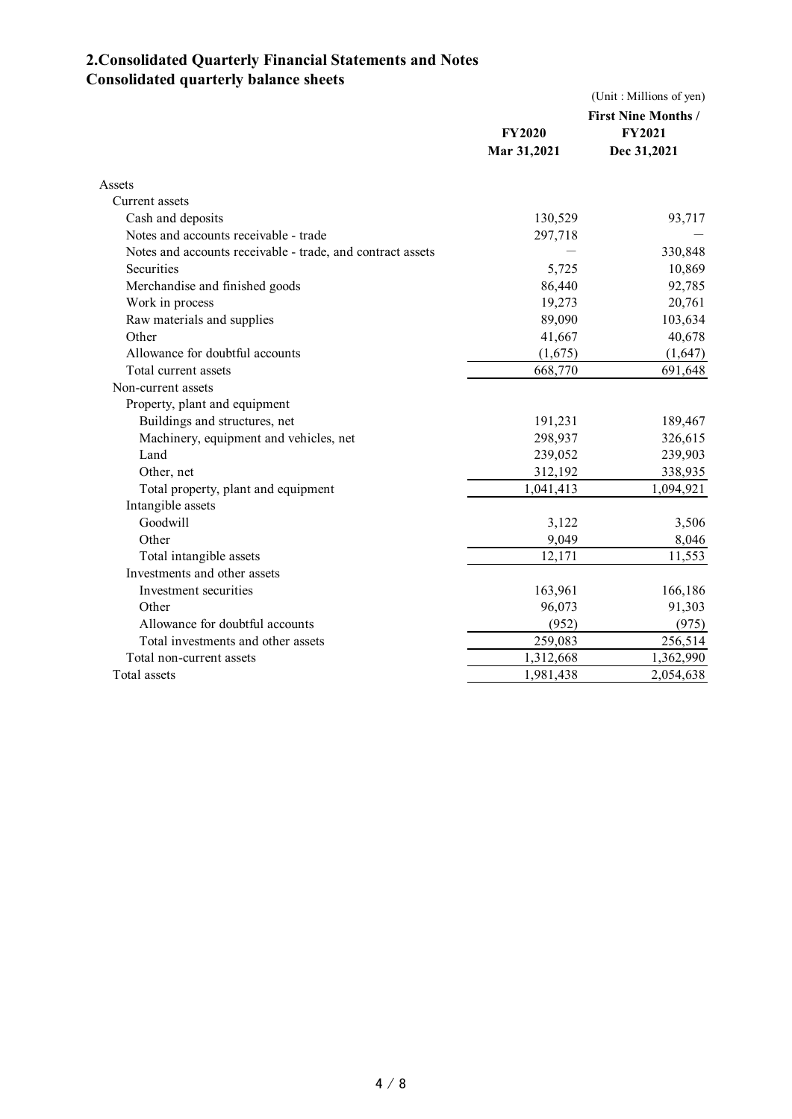# **2.Consolidated Quarterly Financial Statements and Notes Consolidated quarterly balance sheets**

|                                                            | (Unit: Millions of yen) |                            |  |
|------------------------------------------------------------|-------------------------|----------------------------|--|
|                                                            |                         | <b>First Nine Months /</b> |  |
|                                                            | <b>FY2020</b>           | <b>FY2021</b>              |  |
|                                                            | Mar 31,2021             | Dec 31,2021                |  |
| Assets                                                     |                         |                            |  |
| Current assets                                             |                         |                            |  |
| Cash and deposits                                          | 130,529                 | 93,717                     |  |
| Notes and accounts receivable - trade                      | 297,718                 |                            |  |
| Notes and accounts receivable - trade, and contract assets |                         | 330,848                    |  |
| <b>Securities</b>                                          | 5,725                   | 10,869                     |  |
| Merchandise and finished goods                             | 86,440                  | 92,785                     |  |
| Work in process                                            | 19,273                  | 20,761                     |  |
| Raw materials and supplies                                 | 89,090                  | 103,634                    |  |
| Other                                                      | 41,667                  | 40,678                     |  |
| Allowance for doubtful accounts                            | (1,675)                 | (1,647)                    |  |
| Total current assets                                       | 668,770                 | 691,648                    |  |
| Non-current assets                                         |                         |                            |  |
| Property, plant and equipment                              |                         |                            |  |
| Buildings and structures, net                              | 191,231                 | 189,467                    |  |
| Machinery, equipment and vehicles, net                     | 298,937                 | 326,615                    |  |
| Land                                                       | 239,052                 | 239,903                    |  |
| Other, net                                                 | 312,192                 | 338,935                    |  |
| Total property, plant and equipment                        | 1,041,413               | 1,094,921                  |  |
| Intangible assets                                          |                         |                            |  |
| Goodwill                                                   | 3,122                   | 3,506                      |  |
| Other                                                      | 9,049                   | 8,046                      |  |
| Total intangible assets                                    | 12,171                  | 11,553                     |  |
| Investments and other assets                               |                         |                            |  |
| Investment securities                                      | 163,961                 | 166,186                    |  |
| Other                                                      | 96,073                  | 91,303                     |  |
| Allowance for doubtful accounts                            | (952)                   | (975)                      |  |
| Total investments and other assets                         | 259,083                 | 256,514                    |  |
| Total non-current assets                                   | 1,312,668               | 1,362,990                  |  |
| Total assets                                               | 1,981,438               | 2,054,638                  |  |
|                                                            |                         |                            |  |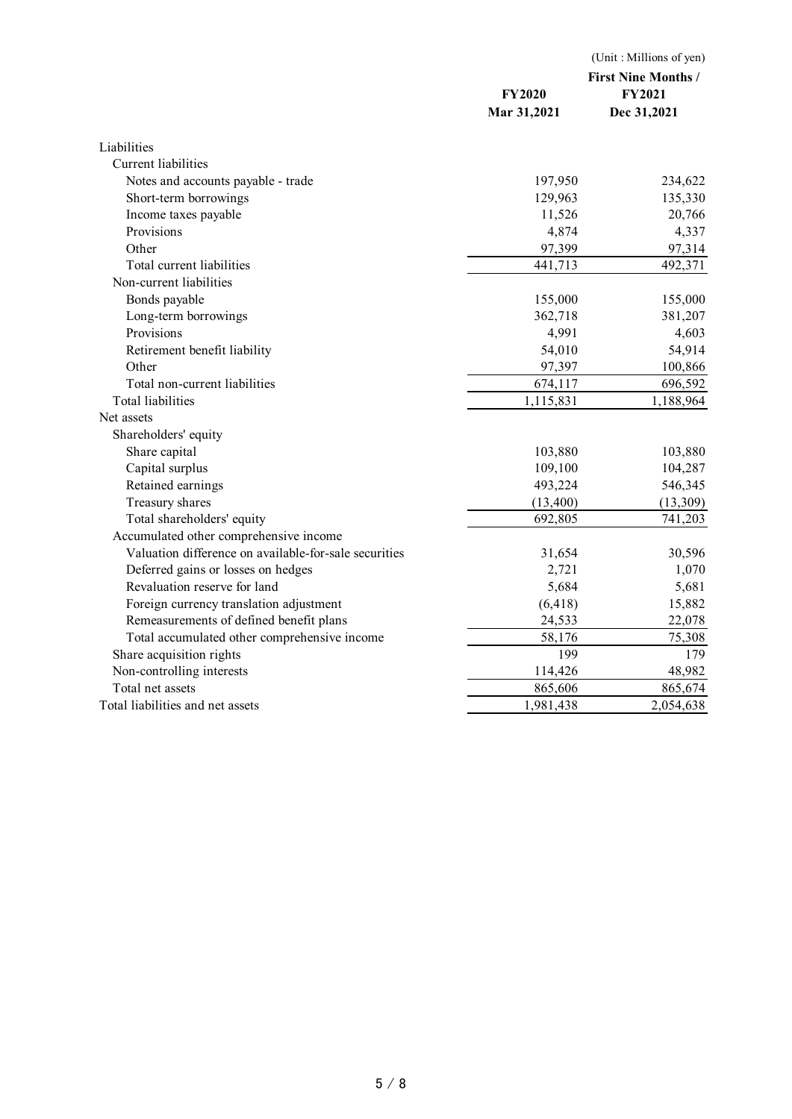|                                                       | <b>FY2020</b><br>Mar 31,2021 | (Unit: Millions of yen)<br><b>First Nine Months /</b><br><b>FY2021</b><br>Dec 31,2021 |
|-------------------------------------------------------|------------------------------|---------------------------------------------------------------------------------------|
| Liabilities                                           |                              |                                                                                       |
| Current liabilities                                   |                              |                                                                                       |
| Notes and accounts payable - trade                    | 197,950                      | 234,622                                                                               |
| Short-term borrowings                                 | 129,963                      | 135,330                                                                               |
| Income taxes payable                                  | 11,526                       | 20,766                                                                                |
| Provisions                                            | 4,874                        | 4,337                                                                                 |
| Other                                                 | 97,399                       | 97,314                                                                                |
| Total current liabilities                             | 441,713                      | 492,371                                                                               |
| Non-current liabilities                               |                              |                                                                                       |
| Bonds payable                                         | 155,000                      | 155,000                                                                               |
| Long-term borrowings                                  | 362,718                      | 381,207                                                                               |
| Provisions                                            | 4,991                        | 4,603                                                                                 |
| Retirement benefit liability                          | 54,010                       | 54,914                                                                                |
| Other                                                 | 97,397                       | 100,866                                                                               |
| Total non-current liabilities                         | 674,117                      | 696,592                                                                               |
| <b>Total liabilities</b>                              | 1,115,831                    | 1,188,964                                                                             |
| Net assets                                            |                              |                                                                                       |
| Shareholders' equity                                  |                              |                                                                                       |
| Share capital                                         | 103,880                      | 103,880                                                                               |
| Capital surplus                                       | 109,100                      | 104,287                                                                               |
| Retained earnings                                     | 493,224                      | 546,345                                                                               |
| Treasury shares                                       | (13,400)                     | (13,309)                                                                              |
| Total shareholders' equity                            | 692,805                      | 741,203                                                                               |
| Accumulated other comprehensive income                |                              |                                                                                       |
| Valuation difference on available-for-sale securities | 31,654                       | 30,596                                                                                |
| Deferred gains or losses on hedges                    | 2,721                        | 1,070                                                                                 |
| Revaluation reserve for land                          | 5,684                        | 5,681                                                                                 |
| Foreign currency translation adjustment               | (6, 418)                     | 15,882                                                                                |
| Remeasurements of defined benefit plans               | 24,533                       | 22,078                                                                                |
| Total accumulated other comprehensive income          | 58,176                       | 75,308                                                                                |
| Share acquisition rights                              | 199                          | 179                                                                                   |
| Non-controlling interests                             | 114,426                      | 48,982                                                                                |
| Total net assets                                      | 865,606                      | 865,674                                                                               |
| Total liabilities and net assets                      | 1,981,438                    | 2,054,638                                                                             |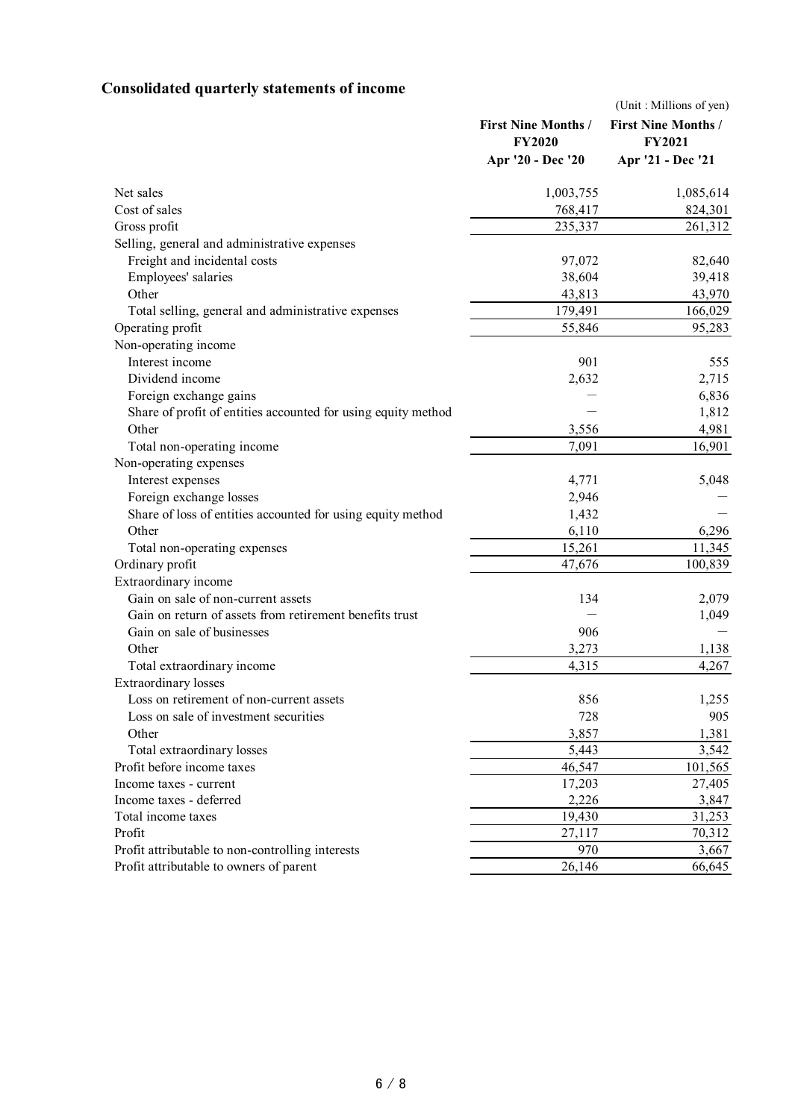# **Consolidated quarterly statements of income**

|                                                               |                            | (Unit: Millions of yen)    |
|---------------------------------------------------------------|----------------------------|----------------------------|
|                                                               | <b>First Nine Months /</b> | <b>First Nine Months /</b> |
|                                                               | <b>FY2020</b>              | <b>FY2021</b>              |
|                                                               | Apr '20 - Dec '20          | Apr '21 - Dec '21          |
| Net sales                                                     | 1,003,755                  | 1,085,614                  |
| Cost of sales                                                 | 768,417                    | 824,301                    |
| Gross profit                                                  | 235,337                    | 261,312                    |
| Selling, general and administrative expenses                  |                            |                            |
| Freight and incidental costs                                  | 97,072                     | 82,640                     |
| Employees' salaries                                           | 38,604                     | 39,418                     |
| Other                                                         | 43,813                     | 43,970                     |
| Total selling, general and administrative expenses            | 179,491                    | 166,029                    |
| Operating profit                                              | 55,846                     | 95,283                     |
| Non-operating income                                          |                            |                            |
| Interest income                                               | 901                        | 555                        |
| Dividend income                                               | 2,632                      | 2,715                      |
| Foreign exchange gains                                        |                            | 6,836                      |
| Share of profit of entities accounted for using equity method |                            | 1,812                      |
| Other                                                         | 3,556                      | 4,981                      |
| Total non-operating income                                    | 7,091                      | 16,901                     |
| Non-operating expenses                                        |                            |                            |
| Interest expenses                                             | 4,771                      | 5,048                      |
| Foreign exchange losses                                       | 2,946                      |                            |
| Share of loss of entities accounted for using equity method   | 1,432                      |                            |
| Other                                                         | 6,110                      | 6,296                      |
| Total non-operating expenses                                  | 15,261                     | 11,345                     |
| Ordinary profit                                               | 47,676                     | 100,839                    |
| Extraordinary income                                          |                            |                            |
| Gain on sale of non-current assets                            | 134                        | 2,079                      |
| Gain on return of assets from retirement benefits trust       |                            | 1,049                      |
| Gain on sale of businesses                                    | 906                        |                            |
| Other                                                         | 3,273                      | 1,138                      |
| Total extraordinary income                                    | 4,315                      | 4,267                      |
| <b>Extraordinary</b> losses                                   |                            |                            |
| Loss on retirement of non-current assets                      | 856                        | 1,255                      |
| Loss on sale of investment securities                         | 728                        | 905                        |
| Other                                                         | 3,857                      | 1,381                      |
| Total extraordinary losses                                    | 5,443                      | 3,542                      |
| Profit before income taxes                                    | 46,547                     | 101,565                    |
| Income taxes - current                                        | 17,203                     | 27,405                     |
| Income taxes - deferred                                       | 2,226                      | 3,847                      |
| Total income taxes                                            | 19,430                     | 31,253                     |
| Profit                                                        | 27,117                     | 70,312                     |
| Profit attributable to non-controlling interests              | 970                        | 3,667                      |
| Profit attributable to owners of parent                       | 26,146                     | 66,645                     |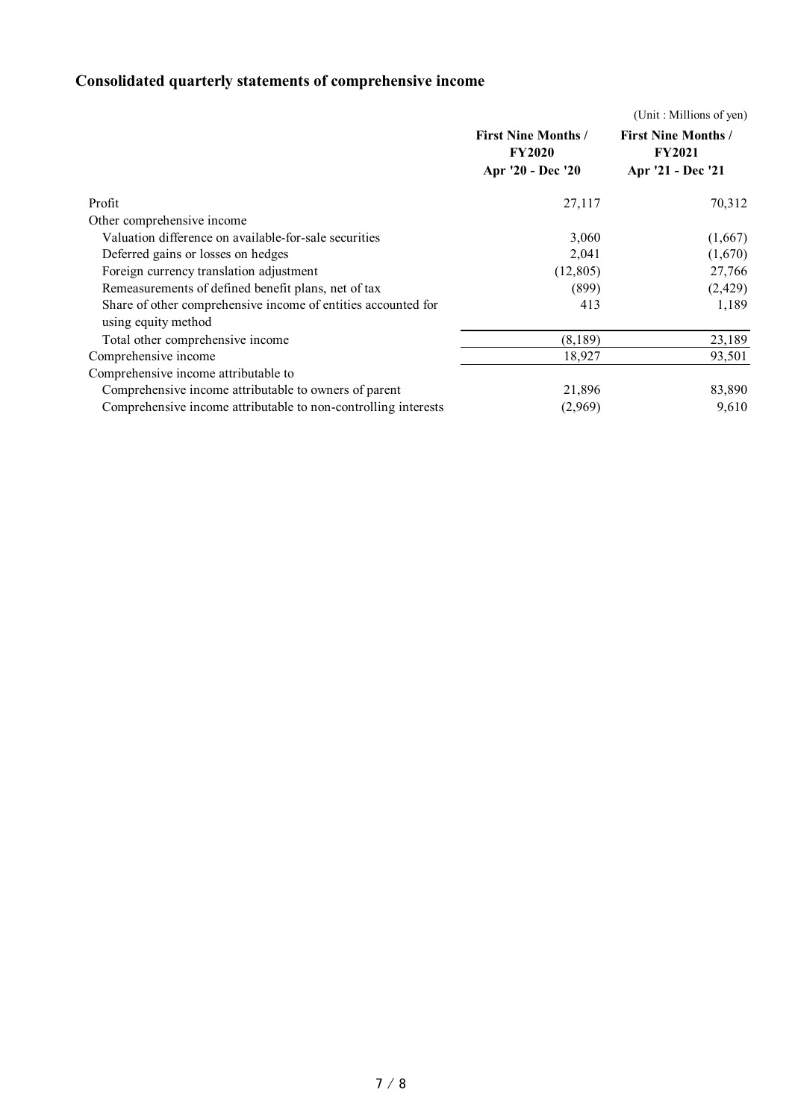# **Consolidated quarterly statements of comprehensive income**

|                                                                                      |                                                                  | (Unit: Millions of yen)                                          |
|--------------------------------------------------------------------------------------|------------------------------------------------------------------|------------------------------------------------------------------|
|                                                                                      | <b>First Nine Months /</b><br><b>FY2020</b><br>Apr '20 - Dec '20 | <b>First Nine Months /</b><br><b>FY2021</b><br>Apr '21 - Dec '21 |
| Profit                                                                               | 27,117                                                           | 70,312                                                           |
| Other comprehensive income                                                           |                                                                  |                                                                  |
| Valuation difference on available-for-sale securities                                | 3,060                                                            | (1,667)                                                          |
| Deferred gains or losses on hedges                                                   | 2,041                                                            | (1,670)                                                          |
| Foreign currency translation adjustment                                              | (12,805)                                                         | 27,766                                                           |
| Remeasurements of defined benefit plans, net of tax                                  | (899)                                                            | (2,429)                                                          |
| Share of other comprehensive income of entities accounted for<br>using equity method | 413                                                              | 1,189                                                            |
| Total other comprehensive income                                                     | (8,189)                                                          | 23,189                                                           |
| Comprehensive income                                                                 | 18,927                                                           | 93,501                                                           |
| Comprehensive income attributable to                                                 |                                                                  |                                                                  |
| Comprehensive income attributable to owners of parent                                | 21,896                                                           | 83,890                                                           |
| Comprehensive income attributable to non-controlling interests                       | (2,969)                                                          | 9,610                                                            |